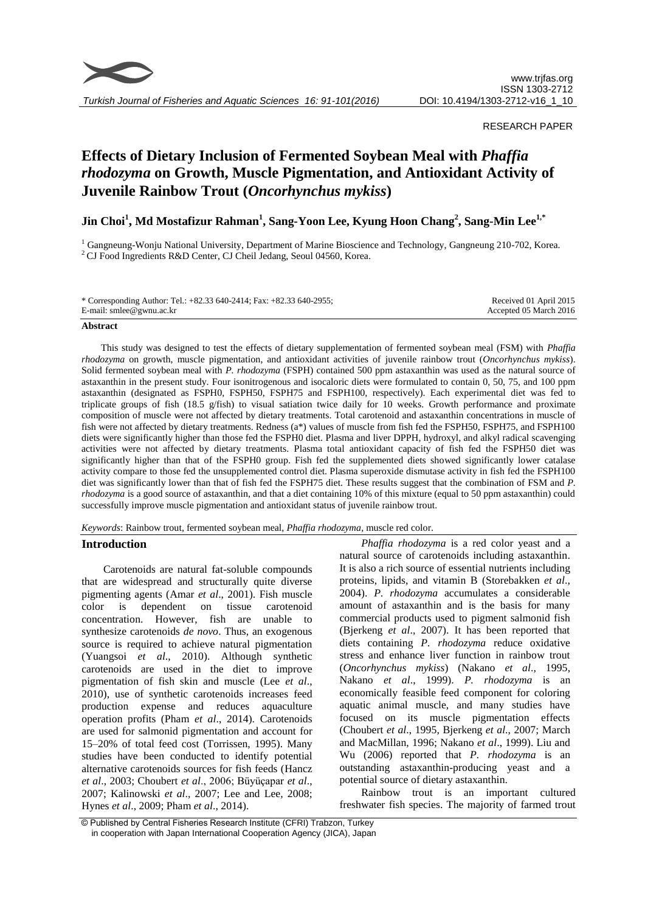

# RESEARCH PAPER

# **Effects of Dietary Inclusion of Fermented Soybean Meal with** *Phaffia rhodozyma* **on Growth, Muscle Pigmentation, and Antioxidant Activity of Juvenile Rainbow Trout (***Oncorhynchus mykiss***)**

# **Jin Choi<sup>1</sup> , Md Mostafizur Rahman<sup>1</sup> , Sang-Yoon Lee, Kyung Hoon Chang<sup>2</sup> , Sang-Min Lee1,\***

<sup>1</sup> Gangneung-Wonju National University, Department of Marine Bioscience and Technology, Gangneung 210-702, Korea. <sup>2</sup> CJ Food Ingredients R&D Center, CJ Cheil Jedang, Seoul 04560, Korea.

| * Corresponding Author: Tel.: $+82.33640-2414$ ; Fax: $+82.33640-2955$ ; | Received 01 April 2015 |
|--------------------------------------------------------------------------|------------------------|
| E-mail: smlee@gwnu.ac.kr                                                 | Accepted 05 March 2016 |

#### **Abstract**

This study was designed to test the effects of dietary supplementation of fermented soybean meal (FSM) with *Phaffia rhodozyma* on growth, muscle pigmentation, and antioxidant activities of juvenile rainbow trout (*Oncorhynchus mykiss*). Solid fermented soybean meal with *P. rhodozyma* (FSPH) contained 500 ppm astaxanthin was used as the natural source of astaxanthin in the present study. Four isonitrogenous and isocaloric diets were formulated to contain 0, 50, 75, and 100 ppm astaxanthin (designated as FSPH0, FSPH50, FSPH75 and FSPH100, respectively). Each experimental diet was fed to triplicate groups of fish (18.5 g/fish) to visual satiation twice daily for 10 weeks. Growth performance and proximate composition of muscle were not affected by dietary treatments. Total carotenoid and astaxanthin concentrations in muscle of fish were not affected by dietary treatments. Redness (a\*) values of muscle from fish fed the FSPH50, FSPH75, and FSPH100 diets were significantly higher than those fed the FSPH0 diet. Plasma and liver DPPH, hydroxyl, and alkyl radical scavenging activities were not affected by dietary treatments. Plasma total antioxidant capacity of fish fed the FSPH50 diet was significantly higher than that of the FSPH0 group. Fish fed the supplemented diets showed significantly lower catalase activity compare to those fed the unsupplemented control diet. Plasma superoxide dismutase activity in fish fed the FSPH100 diet was significantly lower than that of fish fed the FSPH75 diet. These results suggest that the combination of FSM and *P. rhodozyma* is a good source of astaxanthin, and that a diet containing 10% of this mixture (equal to 50 ppm astaxanthin) could successfully improve muscle pigmentation and antioxidant status of juvenile rainbow trout.

*Keywords*: Rainbow trout, fermented soybean meal, *Phaffia rhodozyma*, muscle red color.

# **Introduction**

Carotenoids are natural fat-soluble compounds that are widespread and structurally quite diverse pigmenting agents (Amar *et al*., 2001). Fish muscle color is dependent on tissue carotenoid concentration. However, fish are unable to synthesize carotenoids *de novo*. Thus, an exogenous source is required to achieve natural pigmentation (Yuangsoi *et al*., 2010). Although synthetic carotenoids are used in the diet to improve pigmentation of fish skin and muscle (Lee *et al*., 2010), use of synthetic carotenoids increases feed production expense and reduces aquaculture operation profits (Pham *et al*., 2014). Carotenoids are used for salmonid pigmentation and account for 15–20% of total feed cost (Torrissen, 1995). Many studies have been conducted to identify potential alternative carotenoids sources for fish feeds (Hancz *et al*., 2003; Choubert *et al*., 2006; Büyüçapar *et al*., 2007; Kalinowski *et al*., 2007; Lee and Lee, 2008; Hynes *et al*., 2009; Pham *et al*., 2014).

*Phaffia rhodozyma* is a red color yeast and a natural source of carotenoids including astaxanthin. It is also a rich source of essential nutrients including proteins, lipids, and vitamin B (Storebakken *et al*., 2004). *P. rhodozyma* accumulates a considerable amount of astaxanthin and is the basis for many commercial products used to pigment salmonid fish (Bjerkeng *et al*., 2007). It has been reported that diets containing *P. rhodozyma* reduce oxidative stress and enhance liver function in rainbow trout (*Oncorhynchus mykiss*) (Nakano *et al*[., 1995,](http://www.sciencedirect.com/science/article/pii/S0044848603007373#BIB25) Nakano *et al*[., 1999\)](http://www.sciencedirect.com/science/article/pii/S0044848603007373#BIB26). *P. rhodozyma* is an economically feasible feed component for coloring aquatic animal muscle, and many studies have focused on its muscle pigmentation effects [\(Choubert](http://www.sciencedirect.com/science/article/pii/S0044848610006629#bb0040) *et al*., 1995, [Bjerkeng](http://www.sciencedirect.com/science/article/pii/S0044848610006629#bb0015) *et al*., 2007; [March](http://www.sciencedirect.com/science/article/pii/S0044848610006629#bb0075)  [and MacMillan, 1996;](http://www.sciencedirect.com/science/article/pii/S0044848610006629#bb0075) Nakano *et al*., 1999). Liu and Wu (2006) reported that *P. rhodozyma* is an outstanding astaxanthin-producing yeast and a potential source of dietary astaxanthin.

Rainbow trout is an important cultured freshwater fish species. The majority of farmed trout

<sup>©</sup> Published by Central Fisheries Research Institute (CFRI) Trabzon, Turkey in cooperation with Japan International Cooperation Agency (JICA), Japan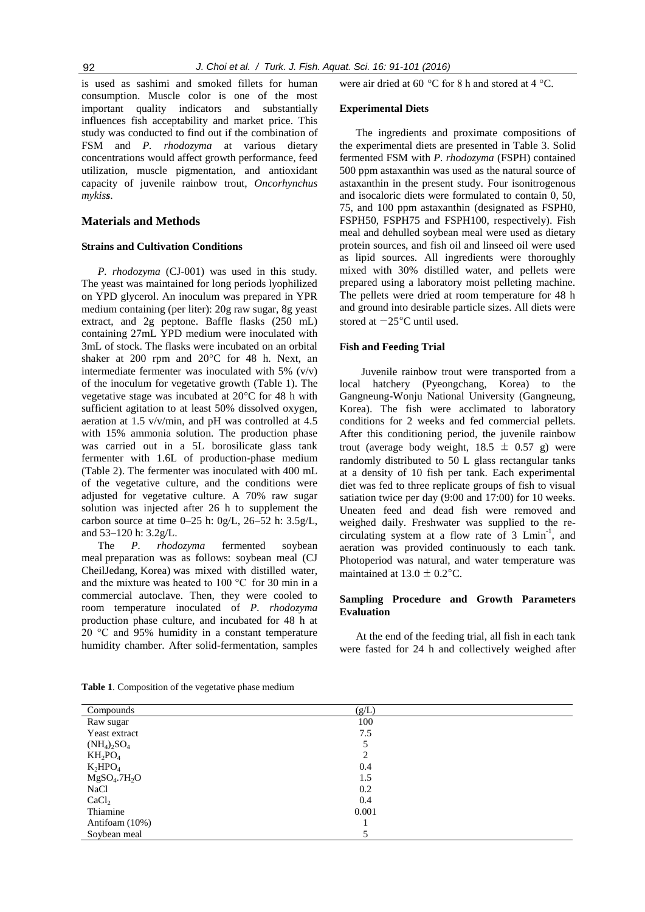is used as sashimi and smoked fillets for human consumption. Muscle color is one of the most important quality indicators and substantially influences fish acceptability and market price. This study was conducted to find out if the combination of FSM and *P. rhodozyma* at various dietary concentrations would affect growth performance, feed utilization, muscle pigmentation, and antioxidant capacity of juvenile rainbow trout, *Oncorhynchus mykiss*.

## **Materials and Methods**

# **Strains and Cultivation Conditions**

*P. rhodozyma* (CJ-001) was used in this study*.*  The yeast was maintained for long periods lyophilized on YPD glycerol. An inoculum was prepared in YPR medium containing (per liter): 20g raw sugar, 8g yeast extract, and 2g peptone. Baffle flasks (250 mL) containing 27mL YPD medium were inoculated with 3mL of stock. The flasks were incubated on an orbital shaker at 200 rpm and 20°C for 48 h. Next, an intermediate fermenter was inoculated with 5% (v/v) of the inoculum for vegetative growth (Table 1). The vegetative stage was incubated at 20°C for 48 h with sufficient agitation to at least 50% dissolved oxygen, aeration at 1.5 v/v/min, and pH was controlled at 4.5 with 15% ammonia solution. The production phase was carried out in a 5L borosilicate glass tank fermenter with 1.6L of production-phase medium (Table 2). The fermenter was inoculated with 400 mL of the vegetative culture, and the conditions were adjusted for vegetative culture. A 70% raw sugar solution was injected after 26 h to supplement the carbon source at time 0–25 h: 0g/L, 26–52 h: 3.5g/L, and 53–120 h: 3.2g/L.

The *P. rhodozyma* fermented soybean meal preparation was as follows: soybean meal (CJ CheilJedang, Korea) was mixed with distilled water, and the mixture was heated to 100 °C for 30 min in a commercial autoclave. Then, they were cooled to room temperature inoculated of *P. rhodozyma* production phase culture, and incubated for 48 h at 20 °C and 95% humidity in a constant temperature humidity chamber. After solid-fermentation, samples were air dried at 60 °C for 8 h and stored at 4 °C.

#### **Experimental Diets**

The ingredients and proximate compositions of the experimental diets are presented in Table 3. Solid fermented FSM with *P. rhodozyma* (FSPH) contained 500 ppm astaxanthin was used as the natural source of astaxanthin in the present study. Four isonitrogenous and isocaloric diets were formulated to contain 0, 50, 75, and 100 ppm astaxanthin (designated as FSPH0, FSPH50, FSPH75 and FSPH100, respectively). Fish meal and dehulled soybean meal were used as dietary protein sources, and fish oil and linseed oil were used as lipid sources. All ingredients were thoroughly mixed with 30% distilled water, and pellets were prepared using a laboratory moist pelleting machine. The pellets were dried at room temperature for 48 h and ground into desirable particle sizes. All diets were stored at −25°C until used.

#### **Fish and Feeding Trial**

Juvenile rainbow trout were transported from a local hatchery (Pyeongchang, Korea) to the Gangneung-Wonju National University (Gangneung, Korea). The fish were acclimated to laboratory conditions for 2 weeks and fed commercial pellets. After this conditioning period, the juvenile rainbow trout (average body weight,  $18.5 \pm 0.57$  g) were randomly distributed to 50 L glass rectangular tanks at a density of 10 fish per tank. Each experimental diet was fed to three replicate groups of fish to visual satiation twice per day (9:00 and 17:00) for 10 weeks. Uneaten feed and dead fish were removed and weighed daily. Freshwater was supplied to the recirculating system at a flow rate of 3 Lmin-1 , and aeration was provided continuously to each tank. Photoperiod was natural, and water temperature was maintained at  $13.0 \pm 0.2$ °C.

# **Sampling Procedure and Growth Parameters Evaluation**

At the end of the feeding trial, all fish in each tank were fasted for 24 h and collectively weighed after

**Table 1**. Composition of the vegetative phase medium

| Compounds                            | (g/L) |  |
|--------------------------------------|-------|--|
| Raw sugar                            | 100   |  |
| Yeast extract                        | 7.5   |  |
| $(NH_4)_2SO_4$                       |       |  |
| $KH_2PO_4$                           | ↑     |  |
| $K_2HPO_4$                           | 0.4   |  |
| MgSO <sub>4</sub> .7H <sub>2</sub> O | 1.5   |  |
| <b>NaCl</b>                          | 0.2   |  |
| CaCl <sub>2</sub>                    | 0.4   |  |
| Thiamine                             | 0.001 |  |
| Antifoam $(10\%)$                    |       |  |
| Soybean meal                         |       |  |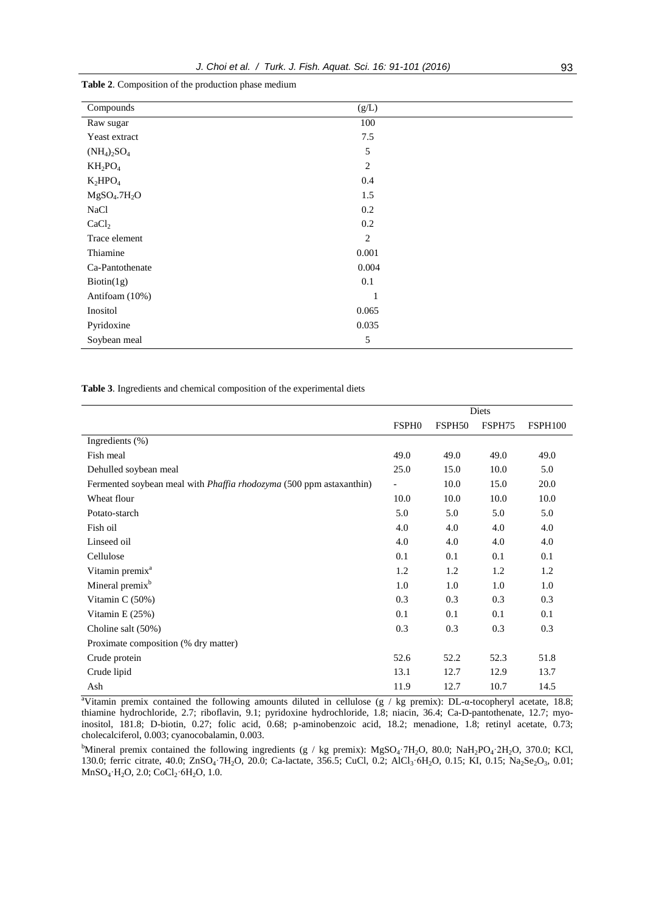| Compounds                            | (g/L) |  |
|--------------------------------------|-------|--|
| Raw sugar                            | 100   |  |
| Yeast extract                        | 7.5   |  |
| $(NH_4)_2SO_4$                       | 5     |  |
| $KH_2PO_4$                           | 2     |  |
| $K_2HPO_4$                           | 0.4   |  |
| MgSO <sub>4</sub> .7H <sub>2</sub> O | 1.5   |  |
| <b>NaCl</b>                          | 0.2   |  |
| CaCl <sub>2</sub>                    | 0.2   |  |
| Trace element                        | 2     |  |
| Thiamine                             | 0.001 |  |
| Ca-Pantothenate                      | 0.004 |  |
| Biotin(1g)                           | 0.1   |  |
| Antifoam (10%)                       |       |  |
| Inositol                             | 0.065 |  |
| Pyridoxine                           | 0.035 |  |
| Soybean meal                         | 5     |  |

**Table 2**. Composition of the production phase medium

**Table 3**. Ingredients and chemical composition of the experimental diets

|                                                                     |                          |        | Diets  |                |
|---------------------------------------------------------------------|--------------------------|--------|--------|----------------|
|                                                                     | <b>FSPH0</b>             | FSPH50 | FSPH75 | <b>FSPH100</b> |
| Ingredients (%)                                                     |                          |        |        |                |
| Fish meal                                                           | 49.0                     | 49.0   | 49.0   | 49.0           |
| Dehulled soybean meal                                               | 25.0                     | 15.0   | 10.0   | 5.0            |
| Fermented soybean meal with Phaffia rhodozyma (500 ppm astaxanthin) | $\overline{\phantom{a}}$ | 10.0   | 15.0   | 20.0           |
| Wheat flour                                                         | 10.0                     | 10.0   | 10.0   | 10.0           |
| Potato-starch                                                       | 5.0                      | 5.0    | 5.0    | 5.0            |
| Fish oil                                                            | 4.0                      | 4.0    | 4.0    | 4.0            |
| Linseed oil                                                         | 4.0                      | 4.0    | 4.0    | 4.0            |
| Cellulose                                                           | 0.1                      | 0.1    | 0.1    | 0.1            |
| Vitamin premix <sup>a</sup>                                         | 1.2                      | 1.2    | 1.2    | 1.2            |
| Mineral premix <sup>b</sup>                                         | 1.0                      | 1.0    | 1.0    | 1.0            |
| Vitamin C (50%)                                                     | 0.3                      | 0.3    | 0.3    | 0.3            |
| Vitamin $E(25%)$                                                    | 0.1                      | 0.1    | 0.1    | 0.1            |
| Choline salt (50%)                                                  | 0.3                      | 0.3    | 0.3    | 0.3            |
| Proximate composition (% dry matter)                                |                          |        |        |                |
| Crude protein                                                       | 52.6                     | 52.2   | 52.3   | 51.8           |
| Crude lipid                                                         | 13.1                     | 12.7   | 12.9   | 13.7           |
| Ash                                                                 | 11.9                     | 12.7   | 10.7   | 14.5           |

<sup>a</sup>Vitamin premix contained the following amounts diluted in cellulose (g / kg premix): DL-α-tocopheryl acetate, 18.8; thiamine hydrochloride, 2.7; riboflavin, 9.1; pyridoxine hydrochloride, 1.8; niacin, 36.4; Ca-D-pantothenate, 12.7; myoinositol, 181.8; D-biotin, 0.27; folic acid, 0.68; p-aminobenzoic acid, 18.2; menadione, 1.8; retinyl acetate, 0.73; cholecalciferol, 0.003; cyanocobalamin, 0.003.

<sup>b</sup>Mineral premix contained the following ingredients (g / kg premix): MgSO<sub>4</sub>·7H<sub>2</sub>O, 80.0; NaH<sub>2</sub>PO<sub>4</sub>·2H<sub>2</sub>O, 370.0; KCl, 130.0; ferric citrate, 40.0; ZnSO<sub>4</sub> 7H<sub>2</sub>O, 20.0; Ca-lactate, 356.5; CuCl, 0.2; AlCl<sub>3</sub> 6H<sub>2</sub>O, 0.15; KI, 0.15; Na<sub>2</sub>Se<sub>2</sub>O<sub>3</sub>, 0.01;  $MnSO<sub>4</sub> \cdot H<sub>2</sub>O$ , 2.0; CoCl<sub>2</sub> $\cdot$ 6H<sub>2</sub>O, 1.0.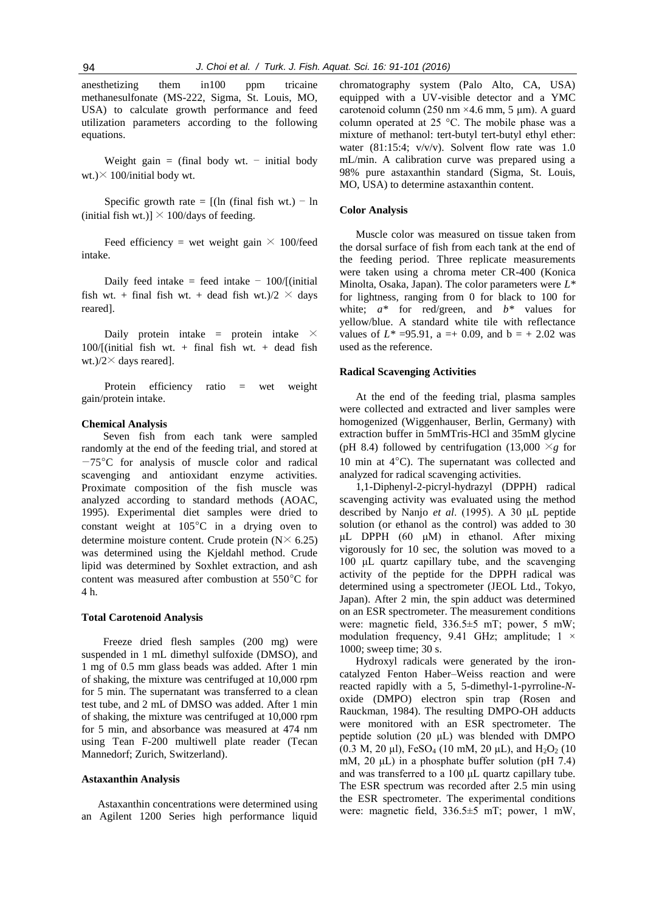anesthetizing them in100 ppm tricaine methanesulfonate (MS-222, Sigma, St. Louis, MO, USA) to calculate growth performance and feed utilization parameters according to the following equations.

Weight gain  $=$  (final body wt.  $=$  initial body wt.) $\times$  100/initial body wt.

Specific growth rate =  $[(\ln (\text{final fish wt.}) - \ln \theta)$ (initial fish wt.)]  $\times$  100/days of feeding.

Feed efficiency = wet weight gain  $\times$  100/feed intake.

Daily feed intake = feed intake  $-100/$ [(initial) fish wt. + final fish wt. + dead fish wt.)/2  $\times$  days reared].

Daily protein intake = protein intake  $\times$ 100/[(initial fish wt. + final fish wt. + dead fish wt.)/ $2\times$  days reared].

Protein efficiency ratio = wet weight gain/protein intake.

#### **Chemical Analysis**

Seven fish from each tank were sampled randomly at the end of the feeding trial, and stored at −75°C for analysis of muscle color and radical scavenging and antioxidant enzyme activities. Proximate composition of the fish muscle was analyzed according to standard methods (AOAC, 1995). Experimental diet samples were dried to constant weight at 105°C in a drying oven to determine moisture content. Crude protein  $(N \times 6.25)$ was determined using the Kjeldahl method. Crude lipid was determined by Soxhlet extraction, and ash content was measured after combustion at 550°C for 4 h.

#### **Total Carotenoid Analysis**

Freeze dried flesh samples (200 mg) were suspended in 1 mL dimethyl sulfoxide (DMSO), and 1 mg of 0.5 mm glass beads was added. After 1 min of shaking, the mixture was centrifuged at 10,000 rpm for 5 min. The supernatant was transferred to a clean test tube, and 2 mL of DMSO was added. After 1 min of shaking, the mixture was centrifuged at 10,000 rpm for 5 min, and absorbance was measured at 474 nm using Tean F-200 multiwell plate reader (Tecan Mannedorf; Zurich, Switzerland).

#### **Astaxanthin Analysis**

Astaxanthin concentrations were determined using an Agilent 1200 Series high performance liquid chromatography system (Palo Alto, CA, USA) equipped with a UV-visible detector and a YMC carotenoid column (250 nm ×4.6 mm, 5 μm). A guard column operated at 25 °C. The mobile phase was a mixture of methanol: tert-butyl tert-butyl ethyl ether: water  $(81:15:4; v/v/v)$ . Solvent flow rate was 1.0 mL/min. A calibration curve was prepared using a 98% pure astaxanthin standard (Sigma, St. Louis, MO, USA) to determine astaxanthin content.

#### **Color Analysis**

Muscle color was measured on tissue taken from the dorsal surface of fish from each tank at the end of the feeding period. Three replicate measurements were taken using a chroma meter CR-400 (Konica Minolta, Osaka, Japan). The color parameters were *L\** for lightness, ranging from 0 for black to 100 for white;  $a^*$  for red/green, and  $b^*$  values for yellow/blue. A standard white tile with reflectance values of  $L^* = 95.91$ ,  $a = +0.09$ , and  $b = +2.02$  was used as the reference.

#### **Radical Scavenging Activities**

At the end of the feeding trial, plasma samples were collected and extracted and liver samples were homogenized (Wiggenhauser, Berlin, Germany) with extraction buffer in 5mMTris-HCl and 35mM glycine (pH 8.4) followed by centrifugation (13,000  $\times$ *g* for 10 min at 4°C). The supernatant was collected and analyzed for radical scavenging activities.

1,1-Diphenyl-2-picryl-hydrazyl (DPPH) radical scavenging activity was evaluated using the method described by Nanjo *et al*. (1995). A 30 μL peptide solution (or ethanol as the control) was added to 30 μL DPPH (60 μM) in ethanol. After mixing vigorously for 10 sec, the solution was moved to a 100 μL quartz capillary tube, and the scavenging activity of the peptide for the DPPH radical was determined using a spectrometer (JEOL Ltd., Tokyo, Japan). After 2 min, the spin adduct was determined on an ESR spectrometer. The measurement conditions were: magnetic field, 336.5±5 mT; power, 5 mW; modulation frequency, 9.41 GHz; amplitude;  $1 \times$ 1000; sweep time; 30 s.

Hydroxyl radicals were generated by the ironcatalyzed Fenton Haber–Weiss reaction and were reacted rapidly with a 5, 5-dimethyl-1-pyrroline-*N*oxide (DMPO) electron spin trap (Rosen and Rauckman, 1984). The resulting DMPO-OH adducts were monitored with an ESR spectrometer. The peptide solution (20 μL) was blended with DMPO (0.3 M, 20 μl), FeSO<sub>4</sub> (10 mM, 20 μL), and H<sub>2</sub>O<sub>2</sub> (10 mM, 20 μL) in a phosphate buffer solution (pH 7.4) and was transferred to a 100 μL quartz capillary tube. The ESR spectrum was recorded after 2.5 min using the ESR spectrometer. The experimental conditions were: magnetic field, 336.5±5 mT; power, 1 mW,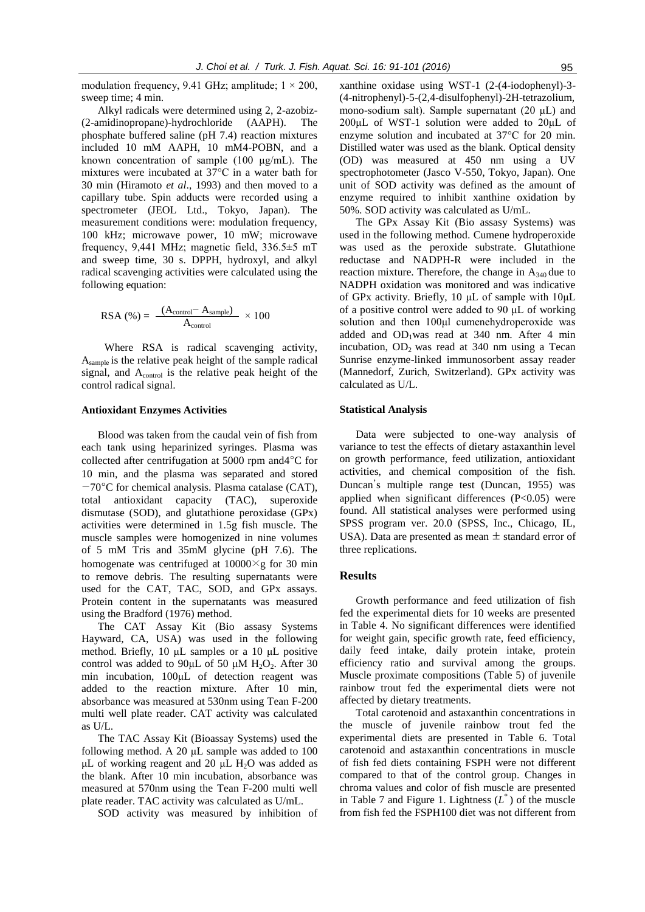modulation frequency, 9.41 GHz; amplitude;  $1 \times 200$ , sweep time; 4 min.

Alkyl radicals were determined using 2, 2-azobiz- (2-amidinopropane)-hydrochloride (AAPH). The phosphate buffered saline (pH 7.4) reaction mixtures included 10 mM AAPH, 10 mM4-POBN, and a known concentration of sample (100 μg/mL). The mixtures were incubated at 37°C in a water bath for 30 min (Hiramoto *et al*., 1993) and then moved to a capillary tube. Spin adducts were recorded using a spectrometer (JEOL Ltd., Tokyo, Japan). The measurement conditions were: modulation frequency, 100 kHz; microwave power, 10 mW; microwave frequency, 9,441 MHz; magnetic field, 336.5±5 mT and sweep time, 30 s. DPPH, hydroxyl, and alkyl radical scavenging activities were calculated using the following equation:

$$
RSA (%) = \frac{(A_{control} - A_{sample})}{A_{control}} \times 100
$$

Where RSA is radical scavenging activity, Asample is the relative peak height of the sample radical signal, and A<sub>control</sub> is the relative peak height of the control radical signal.

#### **Antioxidant Enzymes Activities**

Blood was taken from the caudal vein of fish from each tank using heparinized syringes. Plasma was collected after centrifugation at 5000 rpm and4°C for 10 min, and the plasma was separated and stored −70°C for chemical analysis. Plasma catalase (CAT), total antioxidant capacity (TAC), superoxide dismutase (SOD), and glutathione peroxidase (GPx) activities were determined in 1.5g fish muscle. The muscle samples were homogenized in nine volumes of 5 mM Tris and 35mM glycine (pH 7.6). The homogenate was centrifuged at  $10000 \times g$  for 30 min to remove debris. The resulting supernatants were used for the CAT, TAC, SOD, and GPx assays. Protein content in the supernatants was measured using the Bradford (1976) method.

The CAT Assay Kit (Bio assasy Systems Hayward, CA, USA) was used in the following method. Briefly, 10 μL samples or a 10 μL positive control was added to  $90\mu$ L of 50  $\mu$ M H<sub>2</sub>O<sub>2</sub>. After 30 min incubation, 100μL of detection reagent was added to the reaction mixture. After 10 min, absorbance was measured at 530nm using Tean F-200 multi well plate reader. CAT activity was calculated as U/L.

The TAC Assay Kit (Bioassay Systems) used the following method. A 20 μL sample was added to 100 μL of working reagent and 20 μL  $H_2$ O was added as the blank. After 10 min incubation, absorbance was measured at 570nm using the Tean F-200 multi well plate reader. TAC activity was calculated as U/mL.

SOD activity was measured by inhibition of

xanthine oxidase using WST-1 (2-(4-iodophenyl)-3- (4-nitrophenyl)-5-(2,4-disulfophenyl)-2H-tetrazolium, mono-sodium salt). Sample supernatant  $(20 \mu L)$  and 200μL of WST-1 solution were added to 20μL of enzyme solution and incubated at 37°C for 20 min. Distilled water was used as the blank. Optical density (OD) was measured at 450 nm using a UV spectrophotometer (Jasco V-550, Tokyo, Japan). One unit of SOD activity was defined as the amount of enzyme required to inhibit xanthine oxidation by 50%. SOD activity was calculated as U/mL.

The GPx Assay Kit (Bio assasy Systems) was used in the following method. Cumene hydroperoxide was used as the peroxide substrate. Glutathione reductase and NADPH-R were included in the reaction mixture. Therefore, the change in  $A_{340}$  due to NADPH oxidation was monitored and was indicative of GPx activity. Briefly, 10 μL of sample with 10μL of a positive control were added to 90 μL of working solution and then 100μl cumenehydroperoxide was added and  $OD_1$ was read at 340 nm. After 4 min incubation,  $OD_2$  was read at 340 nm using a Tecan Sunrise enzyme-linked immunosorbent assay reader (Mannedorf, Zurich, Switzerland). GPx activity was calculated as U/L.

# **Statistical Analysis**

Data were subjected to one-way analysis of variance to test the effects of dietary astaxanthin level on growth performance, feed utilization, antioxidant activities, and chemical composition of the fish. Duncan's multiple range test (Duncan, 1955) was applied when significant differences (P<0.05) were found. All statistical analyses were performed using SPSS program ver. 20.0 (SPSS, Inc., Chicago, IL, USA). Data are presented as mean  $\pm$  standard error of three replications.

# **Results**

Growth performance and feed utilization of fish fed the experimental diets for 10 weeks are presented in Table 4. No significant differences were identified for weight gain, specific growth rate, feed efficiency, daily feed intake, daily protein intake, protein efficiency ratio and survival among the groups. Muscle proximate compositions (Table 5) of juvenile rainbow trout fed the experimental diets were not affected by dietary treatments.

Total carotenoid and astaxanthin concentrations in the muscle of juvenile rainbow trout fed the experimental diets are presented in Table 6. Total carotenoid and astaxanthin concentrations in muscle of fish fed diets containing FSPH were not different compared to that of the control group. Changes in chroma values and color of fish muscle are presented in Table 7 and Figure 1. Lightness  $(L^*)$  of the muscle from fish fed the FSPH100 diet was not different from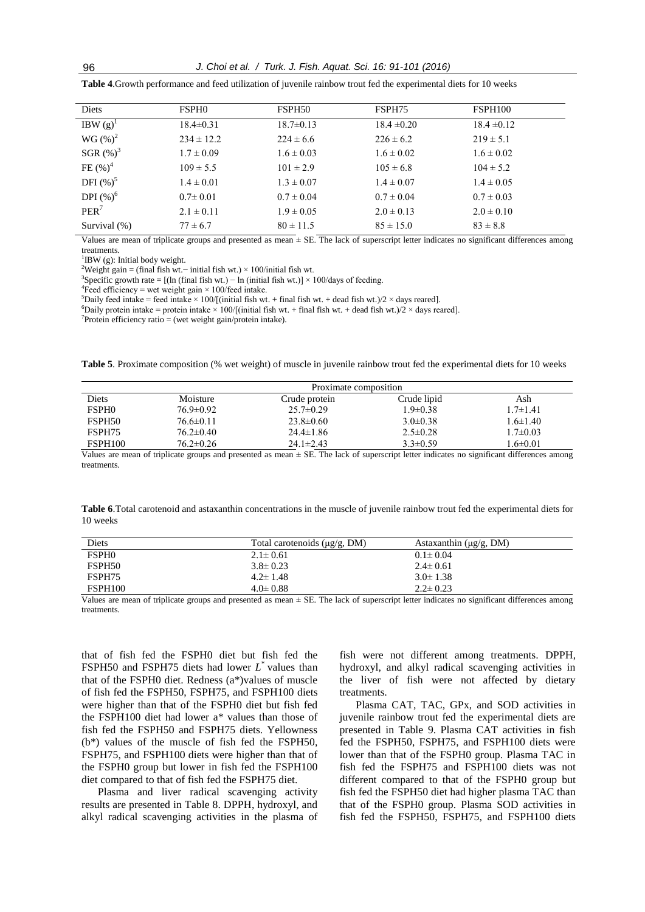| Diets            | <b>FSPHO</b>    | FSPH50          | FSPH75          | FSPH100         |
|------------------|-----------------|-----------------|-----------------|-----------------|
| IBW $(g)^1$      | $18.4 \pm 0.31$ | $18.7 \pm 0.13$ | $18.4 \pm 0.20$ | $18.4 \pm 0.12$ |
| $WG(%)^2$        | $234 \pm 12.2$  | $224 \pm 6.6$   | $226 \pm 6.2$   | $219 \pm 5.1$   |
| SGR $(\%)^3$     | $1.7 \pm 0.09$  | $1.6 \pm 0.03$  | $1.6 \pm 0.02$  | $1.6 \pm 0.02$  |
| FE $(\%)^4$      | $109 \pm 5.5$   | $101 \pm 2.9$   | $105 \pm 6.8$   | $104 \pm 5.2$   |
| DFI $(%)^5$      | $1.4 \pm 0.01$  | $1.3 \pm 0.07$  | $1.4 \pm 0.07$  | $1.4 \pm 0.05$  |
| DPI $(\%)^6$     | $0.7 \pm 0.01$  | $0.7 \pm 0.04$  | $0.7 \pm 0.04$  | $0.7 \pm 0.03$  |
| PER <sup>7</sup> | $2.1 \pm 0.11$  | $1.9 \pm 0.05$  | $2.0 \pm 0.13$  | $2.0 \pm 0.10$  |
| Survival $(\%)$  | $77 \pm 6.7$    | $80 \pm 11.5$   | $85 \pm 15.0$   | $83 \pm 8.8$    |

**Table 4**.Growth performance and feed utilization of juvenile rainbow trout fed the experimental diets for 10 weeks

Values are mean of triplicate groups and presented as mean  $\pm$  SE. The lack of superscript letter indicates no significant differences among treatments.

<sup>1</sup>IBW (g): Initial body weight.

<sup>2</sup>Weight gain = (final fish wt.− initial fish wt.) × 100/initial fish wt.

<sup>3</sup>Specific growth rate = [(ln (final fish wt.) – ln (initial fish wt.)] × 100/days of feeding.

<sup>4</sup>Feed efficiency = wet weight gain  $\times$  100/feed intake.

<sup>5</sup>Daily feed intake = feed intake × 100/[(initial fish wt. + final fish wt. + dead fish wt.)/2 × days reared].

<sup>6</sup>Daily protein intake = protein intake  $\times$  100/[(initial fish wt. + final fish wt. + dead fish wt.)/2  $\times$  days reared].

 $7$ Protein efficiency ratio = (wet weight gain/protein intake).

**Table 5**. Proximate composition (% wet weight) of muscle in juvenile rainbow trout fed the experimental diets for 10 weeks

|                    | Proximate composition |                 |                |                |  |  |  |  |  |
|--------------------|-----------------------|-----------------|----------------|----------------|--|--|--|--|--|
| Diets              | Moisture              | Crude protein   | Crude lipid    | Ash            |  |  |  |  |  |
| <b>FSPH0</b>       | $76.9 \pm 0.92$       | $25.7 \pm 0.29$ | $1.9 \pm 0.38$ | $1.7 \pm 1.41$ |  |  |  |  |  |
| FSPH <sub>50</sub> | $76.6 \pm 0.11$       | $23.8 \pm 0.60$ | $3.0\pm0.38$   | $1.6 \pm 1.40$ |  |  |  |  |  |
| FSPH75             | $76.2 \pm 0.40$       | $24.4 \pm 1.86$ | $2.5 \pm 0.28$ | $1.7 \pm 0.03$ |  |  |  |  |  |
| <b>FSPH100</b>     | $76.2 \pm 0.26$       | $24.1 \pm 2.43$ | $3.3 \pm 0.59$ | $1.6 \pm 0.01$ |  |  |  |  |  |

Values are mean of triplicate groups and presented as mean ± SE. The lack of superscript letter indicates no significant differences among treatments.

**Table 6**.Total carotenoid and astaxanthin concentrations in the muscle of juvenile rainbow trout fed the experimental diets for 10 weeks

| Diets              | Total carotenoids $(\mu g/g, DM)$ | Astaxanthin $(\mu g/g, DM)$ |
|--------------------|-----------------------------------|-----------------------------|
| <b>FSPHO</b>       | $2.1 \pm 0.61$                    | $0.1 \pm 0.04$              |
| FSPH <sub>50</sub> | $3.8 \pm 0.23$                    | $2.4 \pm 0.61$              |
| FSPH75             | $4.2 \pm 1.48$                    | $3.0 \pm 1.38$              |
| FSPH100            | $4.0 \pm 0.88$                    | $2.2 \pm 0.23$              |

Values are mean of triplicate groups and presented as mean  $\pm$  SE. The lack of superscript letter indicates no significant differences among treatments.

that of fish fed the FSPH0 diet but fish fed the FSPH50 and FSPH75 diets had lower *L* \* values than that of the FSPH0 diet. Redness (a\*)values of muscle of fish fed the FSPH50, FSPH75, and FSPH100 diets were higher than that of the FSPH0 diet but fish fed the FSPH100 diet had lower a\* values than those of fish fed the FSPH50 and FSPH75 diets. Yellowness (b\*) values of the muscle of fish fed the FSPH50, FSPH75, and FSPH100 diets were higher than that of the FSPH0 group but lower in fish fed the FSPH100 diet compared to that of fish fed the FSPH75 diet.

Plasma and liver radical scavenging activity results are presented in Table 8. DPPH, hydroxyl, and alkyl radical scavenging activities in the plasma of

fish were not different among treatments. DPPH, hydroxyl, and alkyl radical scavenging activities in the liver of fish were not affected by dietary treatments.

Plasma CAT, TAC, GPx, and SOD activities in juvenile rainbow trout fed the experimental diets are presented in Table 9. Plasma CAT activities in fish fed the FSPH50, FSPH75, and FSPH100 diets were lower than that of the FSPH0 group. Plasma TAC in fish fed the FSPH75 and FSPH100 diets was not different compared to that of the FSPH0 group but fish fed the FSPH50 diet had higher plasma TAC than that of the FSPH0 group. Plasma SOD activities in fish fed the FSPH50, FSPH75, and FSPH100 diets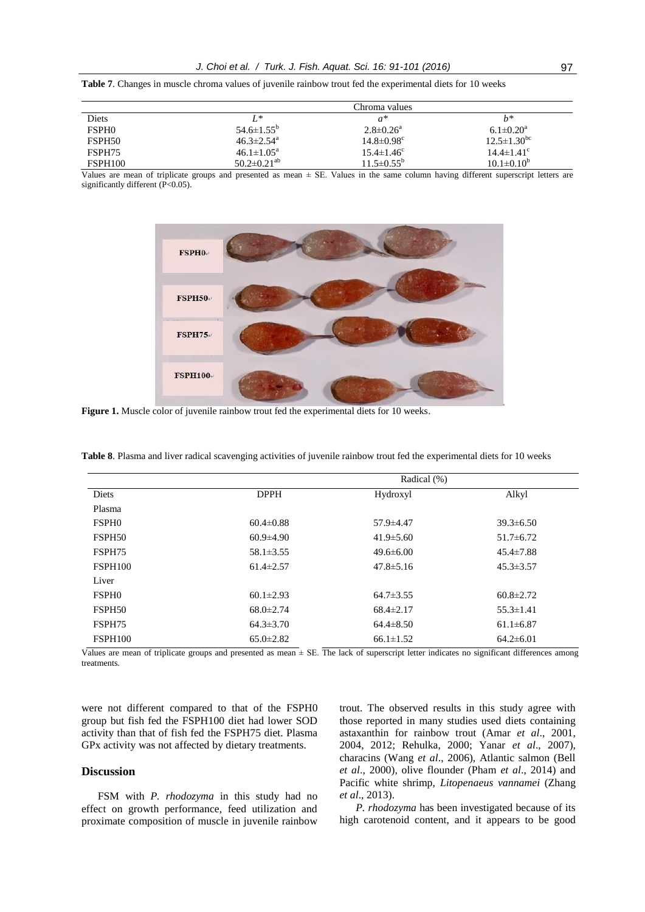|  |  |  |  |  |  |  | <b>Table 7.</b> Changes in muscle chroma values of iuvenile rainbow trout fed the experimental diets for 10 weeks |  |  |  |
|--|--|--|--|--|--|--|-------------------------------------------------------------------------------------------------------------------|--|--|--|
|  |  |  |  |  |  |  |                                                                                                                   |  |  |  |

|                    |                               | Chroma values                |                          |
|--------------------|-------------------------------|------------------------------|--------------------------|
| Diets              | $L^*$                         | $a^*$                        | h*                       |
| <b>FSPH0</b>       | $54.6 \pm 1.55^{\rm b}$       | $2.8 \pm 0.26^a$             | $6.1 \pm 0.20^a$         |
| FSPH <sub>50</sub> | $46.3 \pm 2.54$ <sup>a</sup>  | $14.8 \pm 0.98$ <sup>c</sup> | $12.5 \pm 1.30^{\rm bc}$ |
| FSPH75             | $46.1 \pm 1.05^{\text{a}}$    | $15.4 \pm 1.46^c$            | $14.4 \pm 1.41^{\circ}$  |
| <b>FSPH100</b>     | $50.2 \pm 0.21$ <sup>ab</sup> | $11.5 \pm 0.55^{\rm b}$      | $10.1 \pm 0.10^b$        |

Values are mean of triplicate groups and presented as mean ± SE. Values in the same column having different superscript letters are significantly different (P<0.05).



Figure 1. Muscle color of juvenile rainbow trout fed the experimental diets for 10 weeks.

|  |  | Table 8. Plasma and liver radical scavenging activities of juvenile rainbow trout fed the experimental diets for 10 weeks |  |  |  |  |  |
|--|--|---------------------------------------------------------------------------------------------------------------------------|--|--|--|--|--|
|  |  |                                                                                                                           |  |  |  |  |  |

|                    |                 | Radical (%)     |                 |  |  |  |  |  |
|--------------------|-----------------|-----------------|-----------------|--|--|--|--|--|
| Diets              | <b>DPPH</b>     | Hydroxyl        | Alkyl           |  |  |  |  |  |
| Plasma             |                 |                 |                 |  |  |  |  |  |
| <b>FSPHO</b>       | $60.4 \pm 0.88$ | 57.9 ± 4.47     | $39.3 \pm 6.50$ |  |  |  |  |  |
| FSPH <sub>50</sub> | $60.9 \pm 4.90$ | $41.9 \pm 5.60$ | $51.7 \pm 6.72$ |  |  |  |  |  |
| FSPH75             | $58.1 \pm 3.55$ | $49.6 \pm 6.00$ | $45.4 \pm 7.88$ |  |  |  |  |  |
| FSPH100            | $61.4 \pm 2.57$ | $47.8 \pm 5.16$ | $45.3 \pm 3.57$ |  |  |  |  |  |
| Liver              |                 |                 |                 |  |  |  |  |  |
| <b>FSPHO</b>       | $60.1 \pm 2.93$ | $64.7 \pm 3.55$ | $60.8 \pm 2.72$ |  |  |  |  |  |
| FSPH <sub>50</sub> | $68.0 \pm 2.74$ | $68.4 \pm 2.17$ | $55.3 \pm 1.41$ |  |  |  |  |  |
| FSPH75             | $64.3 \pm 3.70$ | $64.4 \pm 8.50$ | $61.1 \pm 6.87$ |  |  |  |  |  |
| FSPH100            | $65.0 \pm 2.82$ | $66.1 \pm 1.52$ | $64.2 \pm 6.01$ |  |  |  |  |  |

Values are mean of triplicate groups and presented as mean  $\pm$  SE. The lack of superscript letter indicates no significant differences among treatments.

were not different compared to that of the FSPH0 group but fish fed the FSPH100 diet had lower SOD activity than that of fish fed the FSPH75 diet. Plasma GPx activity was not affected by dietary treatments.

#### **Discussion**

FSM with *P. rhodozyma* in this study had no effect on growth performance, feed utilization and proximate composition of muscle in juvenile rainbow trout. The observed results in this study agree with those reported in many studies used diets containing astaxanthin for rainbow trout (Amar *et al*., 2001, 2004, 2012; Rehulka, 2000; Yanar *et al*., 2007), characins (Wang *et al*., 2006), Atlantic salmon (Bell *et al*., 2000), olive flounder (Pham *et al*., 2014) and Pacific white shrimp, *Litopenaeus vannamei* (Zhang *et al*., 2013).

*P. rhodozyma* has been investigated because of its high carotenoid content, and it appears to be good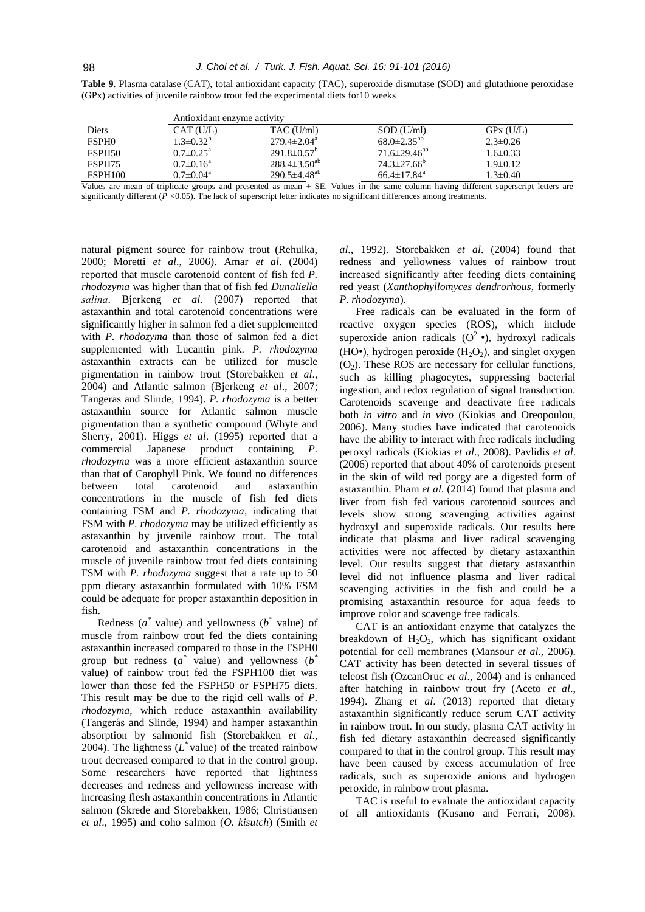|                    |                           | Antioxidant enzyme activity |                               |                |  |  |  |  |  |  |  |
|--------------------|---------------------------|-----------------------------|-------------------------------|----------------|--|--|--|--|--|--|--|
| Diets              | CAT(U/L)                  | TAC (U/ml)                  | $SOD$ (U/ml)                  | $GPx$ $(1)/L$  |  |  |  |  |  |  |  |
| <b>FSPHO</b>       | $1.3 \pm 0.32^{\circ}$    | $279.4 \pm 2.04^{\circ}$    | $68.0 \pm 2.35^{ab}$          | $2.3 \pm 0.26$ |  |  |  |  |  |  |  |
| FSPH <sub>50</sub> | $0.7 \pm 0.25^{\text{a}}$ | $291.8 \pm 0.57^b$          | $71.6 \pm 29.46^{ab}$         | $1.6\pm 0.33$  |  |  |  |  |  |  |  |
| FSPH75             | $0.7 \pm 0.16^a$          | $288.4 \pm 3.50^{ab}$       | $74.3 \pm 27.66^b$            | $1.9\pm0.12$   |  |  |  |  |  |  |  |
| <b>FSPH100</b>     | $0.7 \pm 0.04^{\text{a}}$ | $290.5 \pm 4.48^{ab}$       | $66.4 \pm 17.84$ <sup>a</sup> | $1.3 \pm 0.40$ |  |  |  |  |  |  |  |

**Table 9**. Plasma catalase (CAT), total antioxidant capacity (TAC), superoxide dismutase (SOD) and glutathione peroxidase (GPx) activities of juvenile rainbow trout fed the experimental diets for10 weeks

Values are mean of triplicate groups and presented as mean  $\pm$  SE. Values in the same column having different superscript letters are significantly different (*P <*0.05). The lack of superscript letter indicates no significant differences among treatments.

natural pigment source for rainbow trout (Rehulka, 2000; Moretti *et al*., 2006). Amar *et al*. (2004) reported that muscle carotenoid content of fish fed *P. rhodozyma* was higher than that of fish fed *Dunaliella salina*. Bjerkeng *et al*. (2007) reported that astaxanthin and total carotenoid concentrations were significantly higher in salmon fed a diet supplemented with *P. rhodozyma* than those of salmon fed a diet supplemented with Lucantin pink. *P. rhodozyma*  astaxanthin extracts can be utilized for muscle pigmentation in rainbow trout (Storebakken *et al*., 2004) and Atlantic salmon (Bjerkeng *et al*., 2007; Tangeras and Slinde, 1994). *P. rhodozyma* is a better astaxanthin source for Atlantic salmon muscle pigmentation than a synthetic compound (Whyte and Sherry, 2001). Higgs *et al*. (1995) reported that a commercial Japanese product containing *P. rhodozyma* was a more efficient astaxanthin source than that of Carophyll Pink. We found no differences between total carotenoid and astaxanthin concentrations in the muscle of fish fed diets containing FSM and *P. rhodozyma*, indicating that FSM with *P. rhodozyma* may be utilized efficiently as astaxanthin by juvenile rainbow trout. The total carotenoid and astaxanthin concentrations in the muscle of juvenile rainbow trout fed diets containing FSM with *P. rhodozyma* suggest that a rate up to 50 ppm dietary astaxanthin formulated with 10% FSM could be adequate for proper astaxanthin deposition in fish.

Redness  $(a^*$  value) and yellowness  $(b^*$  value) of muscle from rainbow trout fed the diets containing astaxanthin increased compared to those in the FSPH0 group but redness  $(a^*$  value) and yellowness  $(b^*$ value) of rainbow trout fed the FSPH100 diet was lower than those fed the FSPH50 or FSPH75 diets. This result may be due to the rigid cell walls of *P. rhodozyma*, which reduce astaxanthin availability (Tangerås and Slinde, 1994) and hamper astaxanthin absorption by salmonid fish (Storebakken *et al*., 2004). The lightness  $(L^*$  value) of the treated rainbow trout decreased compared to that in the control group. Some researchers have reported that lightness decreases and redness and yellowness increase with increasing flesh astaxanthin concentrations in Atlantic salmon (Skrede and Storebakken, 1986; Christiansen *et al*., 1995) and coho salmon (*O. kisutch*) (Smith *et* 

*al*., 1992). Storebakken *et al*. (2004) found that redness and yellowness values of rainbow trout increased significantly after feeding diets containing red yeast (*Xanthophyllomyces dendrorhous*, formerly *P. rhodozyma*).

Free radicals can be evaluated in the form of reactive oxygen species (ROS), which include superoxide anion radicals  $(O^{2-})$ , hydroxyl radicals (HO•), hydrogen peroxide  $(H_2O_2)$ , and singlet oxygen  $(O<sub>2</sub>)$ . These ROS are necessary for cellular functions, such as killing phagocytes, suppressing bacterial ingestion, and redox regulation of signal transduction. Carotenoids scavenge and deactivate free radicals both *in vitro* and *in vivo* (Kiokias and Oreopoulou, 2006). Many studies have indicated that carotenoids have the ability to interact with free radicals including peroxyl radicals (Kiokias *et al*., 2008). Pavlidis *et al*. (2006) reported that about 40% of carotenoids present in the skin of wild red porgy are a digested form of astaxanthin. Pham *et al*. (2014) found that plasma and liver from fish fed various carotenoid sources and levels show strong scavenging activities against hydroxyl and superoxide radicals. Our results here indicate that plasma and liver radical scavenging activities were not affected by dietary astaxanthin level. Our results suggest that dietary astaxanthin level did not influence plasma and liver radical scavenging activities in the fish and could be a promising astaxanthin resource for aqua feeds to improve color and scavenge free radicals.

CAT is an antioxidant enzyme that catalyzes the breakdown of  $H_2O_2$ , which has significant oxidant potential for cell membranes (Mansour *et al*., 2006). CAT activity has been detected in several tissues of teleost fish (OzcanOruc *et al*., 2004) and is enhanced after hatching in rainbow trout fry (Aceto *et al*., 1994). Zhang *et al*. (2013) reported that dietary astaxanthin significantly reduce serum CAT activity in rainbow trout. In our study, plasma CAT activity in fish fed dietary astaxanthin decreased significantly compared to that in the control group. This result may have been caused by excess accumulation of free radicals, such as superoxide anions and hydrogen peroxide, in rainbow trout plasma.

TAC is useful to evaluate the antioxidant capacity of all antioxidants (Kusano and Ferrari, 2008).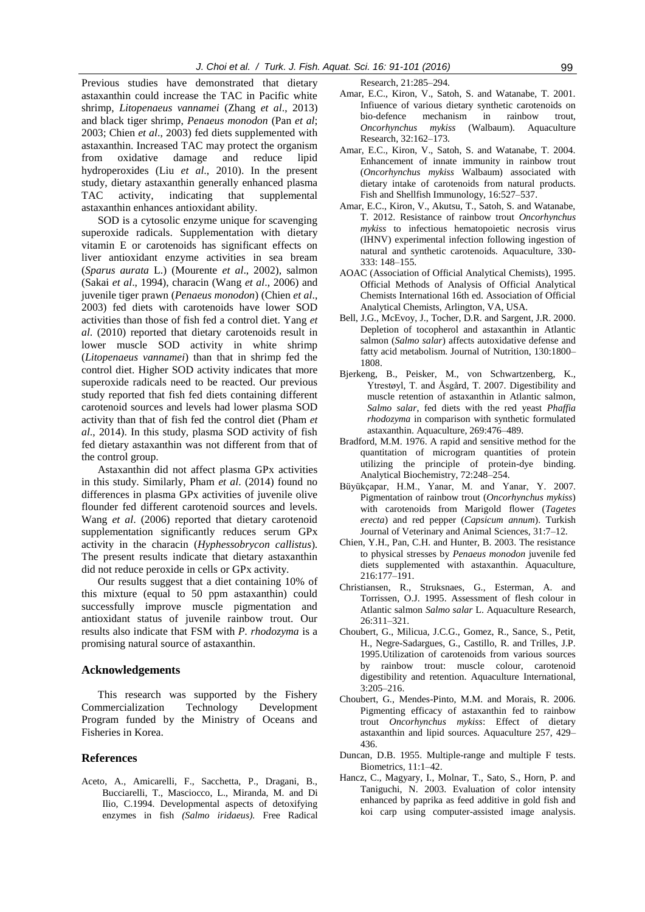Previous studies have demonstrated that dietary astaxanthin could increase the TAC in Pacific white shrimp, *Litopenaeus vannamei* (Zhang *et al*., 2013) and black tiger shrimp, *Penaeus monodon* (Pan *et al*; 2003; Chien *et al*., 2003) fed diets supplemented with astaxanthin. Increased TAC may protect the organism from oxidative damage and reduce lipid hydroperoxides (Liu *et al*., 2010). In the present study, dietary astaxanthin generally enhanced plasma TAC activity, indicating that supplemental astaxanthin enhances antioxidant ability.

SOD is a cytosolic enzyme unique for scavenging superoxide radicals. Supplementation with dietary vitamin E or carotenoids has significant effects on liver antioxidant enzyme activities in sea bream (*Sparus aurata* L.) (Mourente *et al*., 2002), salmon (Sakai *et al*., 1994), characin (Wang *et al*., 2006) and juvenile tiger prawn (*Penaeus monodon*) (Chien *et al*., 2003) fed diets with carotenoids have lower SOD activities than those of fish fed a control diet. Yang *et al*. (2010) reported that dietary carotenoids result in lower muscle SOD activity in white shrimp (*Litopenaeus vannamei*) than that in shrimp fed the control diet. Higher SOD activity indicates that more superoxide radicals need to be reacted. Our previous study reported that fish fed diets containing different carotenoid sources and levels had lower plasma SOD activity than that of fish fed the control diet (Pham *et al*., 2014). In this study, plasma SOD activity of fish fed dietary astaxanthin was not different from that of the control group.

Astaxanthin did not affect plasma GPx activities in this study. Similarly, Pham *et al*. (2014) found no differences in plasma GPx activities of juvenile olive flounder fed different carotenoid sources and levels. Wang *et al*. (2006) reported that dietary carotenoid supplementation significantly reduces serum GPx activity in the characin (*Hyphessobrycon callistus*)*.*  The present results indicate that dietary astaxanthin did not reduce peroxide in cells or GPx activity.

Our results suggest that a diet containing 10% of this mixture (equal to 50 ppm astaxanthin) could successfully improve muscle pigmentation and antioxidant status of juvenile rainbow trout. Our results also indicate that FSM with *P. rhodozyma* is a promising natural source of astaxanthin.

#### **Acknowledgements**

This research was supported by the Fishery Commercialization Technology Development Program funded by the Ministry of Oceans and Fisheries in Korea.

# **References**

Aceto, A., Amicarelli, F., Sacchetta, P., Dragani, B., Bucciarelli, T., Masciocco, L., Miranda, M. and Di Ilio, C.1994. Developmental aspects of detoxifying enzymes in fish *(Salmo iridaeus).* Free Radical Research, 21:285–294.

- Amar, E.C., Kiron, V., Satoh, S. and Watanabe, T. 2001. Infiuence of various dietary synthetic carotenoids on bio-defence mechanism in rainbow trout, *Oncorhynchus mykiss* (Walbaum). Aquaculture Research, 32:162–173.
- Amar, E.C., Kiron, V., Satoh, S. and Watanabe, T. 2004. Enhancement of innate immunity in rainbow trout (*Oncorhynchus mykiss* Walbaum) associated with dietary intake of carotenoids from natural products. Fish and Shellfish Immunology, 16:527–537.
- Amar, E.C., Kiron, V., Akutsu, T., Satoh, S. and Watanabe, T. 2012. Resistance of rainbow trout *Oncorhynchus mykiss* to infectious hematopoietic necrosis virus (IHNV) experimental infection following ingestion of natural and synthetic carotenoids. Aquaculture, 330- 333: 148–155.
- AOAC (Association of Official Analytical Chemists), 1995. Official Methods of Analysis of Official Analytical Chemists International 16th ed. Association of Official Analytical Chemists, Arlington, VA, USA.
- Bell, J.G., McEvoy, J., Tocher, D.R. and Sargent, J.R. 2000. Depletion of tocopherol and astaxanthin in Atlantic salmon (*Salmo salar*) affects autoxidative defense and fatty acid metabolism. Journal of Nutrition, 130:1800– 1808.
- [Bjerkeng,](http://www.sciencedirect.com/science/article/pii/S0044848607003821) B., [Peisker,](http://www.sciencedirect.com/science/article/pii/S0044848607003821) M., [von Schwartzenberg,](http://www.sciencedirect.com/science/article/pii/S0044848607003821) K., [Ytrestøyl, T. and Åsgård,](http://www.sciencedirect.com/science/article/pii/S0044848607003821) T. 2007. Digestibility and muscle retention of astaxanthin in Atlantic salmon, *Salmo salar*, fed diets with the red yeast *Phaffia rhodozyma* in comparison with synthetic formulated astaxanthin. Aquaculture, 269:476–489.
- Bradford, M.M. 1976. A rapid and sensitive method for the quantitation of microgram quantities of protein utilizing the principle of protein-dye binding. Analytical Biochemistry, 72:248–254.
- Büyükçapar, H.M., Yanar, M. and Yanar, Y. 2007. Pigmentation of rainbow trout (*Oncorhynchus mykiss*) with carotenoids from Marigold flower (*Tagetes erecta*) and red pepper (*Capsicum annum*). Turkish Journal of Veterinary and Animal Sciences, 31:7–12.
- Chien, Y.H., Pan, C.H. and Hunter, B. 2003. The resistance to physical stresses by *Penaeus monodon* juvenile fed diets supplemented with astaxanthin. Aquaculture, 216:177–191.
- Christiansen, R., Struksnaes, G., Esterman, A. and Torrissen, O.J. 1995. Assessment of flesh colour in Atlantic salmon *Salmo salar* L. Aquaculture Research, 26:311–321.
- Choubert, G., Milicua, J.C.G., Gomez, R., Sance, S., Petit, H., Negre-Sadargues, G., Castillo, R. and Trilles, J.P. 1995.Utilization of carotenoids from various sources by rainbow trout: muscle colour, carotenoid digestibility and retention. Aquaculture International, 3:205–216.
- Choubert, G., Mendes-Pinto, M.M. and Morais, R. 2006. Pigmenting efficacy of astaxanthin fed to rainbow trout *Oncorhynchus mykiss*: Effect of dietary astaxanthin and lipid sources. Aquaculture 257, 429– 436.
- Duncan, D.B. 1955. Multiple-range and multiple F tests. Biometrics, 11:1–42.
- Hancz, C., Magyary, I., Molnar, T., Sato, S., Horn, P. and Taniguchi, N. 2003. Evaluation of color intensity enhanced by paprika as feed additive in gold fish and koi carp using computer-assisted image analysis.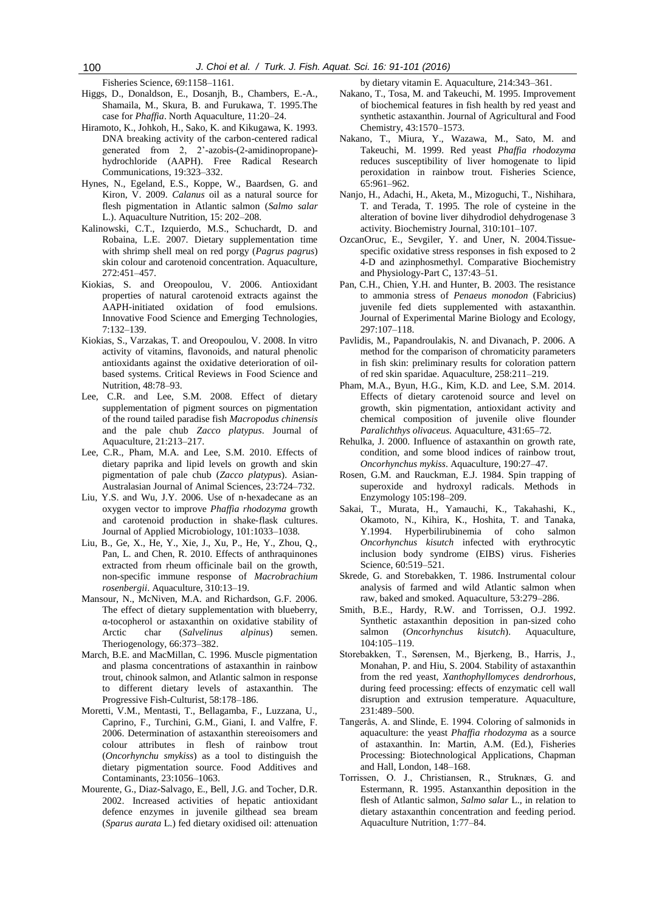Fisheries Science, 69:1158–1161.

- Higgs, D., Donaldson, E., Dosanjh, B., Chambers, E.-A., Shamaila, M., Skura, B. and Furukawa, T. 1995.The case for *Phaffia*. North Aquaculture, 11:20–24.
- Hiramoto, K., Johkoh, H., Sako, K. and Kikugawa, K. 1993. DNA breaking activity of the carbon-centered radical generated from 2, 2'-azobis-(2-amidinopropane) hydrochloride (AAPH). Free Radical Research Communications, 19:323–332.
- Hynes, N., Egeland, E.S., Koppe, W., Baardsen, G. and Kiron, V. 2009. *Calanus* oil as a natural source for flesh pigmentation in Atlantic salmon (*Salmo salar* L.). Aquaculture Nutrition, 15: 202–208.
- Kalinowski, C.T., Izquierdo, M.S., Schuchardt, D. and Robaina, L.E. 2007. Dietary supplementation time with shrimp shell meal on red porgy (*Pagrus pagrus*) skin colour and carotenoid concentration. Aquaculture, 272:451–457.
- Kiokias, S. and Oreopoulou, V. 2006. Antioxidant properties of natural carotenoid extracts against the AAPH-initiated oxidation of food emulsions. Innovative Food Science and Emerging Technologies, 7:132–139.
- Kiokias, S., Varzakas, T. and Oreopoulou, V. 2008. In vitro activity of vitamins, flavonoids, and natural phenolic antioxidants against the oxidative deterioration of oilbased systems. Critical Reviews in Food Science and Nutrition, 48:78–93.
- Lee, C.R. and Lee, S.M. 2008. Effect of dietary supplementation of pigment sources on pigmentation of the round tailed paradise fish *Macropodus chinensis*  and the pale chub *Zacco platypus*. Journal of Aquaculture, 21:213–217.
- Lee, C.R., Pham, M.A. and Lee, S.M. 2010. Effects of dietary paprika and lipid levels on growth and skin pigmentation of pale chub (*Zacco platypus*). Asian-Australasian Journal of Animal Sciences, 23:724–732.
- Liu, Y.S. and Wu, J.Y. 2006. Use of n‐[hexadecane as an](http://onlinelibrary.wiley.com/doi/10.1111/j.1365-2672.2006.03009.x/full)  [oxygen vector to improve](http://onlinelibrary.wiley.com/doi/10.1111/j.1365-2672.2006.03009.x/full) *Phaffia rhodozyma* growth [and carotenoid production in shake](http://onlinelibrary.wiley.com/doi/10.1111/j.1365-2672.2006.03009.x/full)‐flask cultures. Journal of Applied Microbiology, 101:1033–1038.
- Liu, B., Ge, X., He, Y., Xie, J., Xu, P., He, Y., Zhou, Q., Pan, L. and Chen, R. 2010. Effects of anthraquinones extracted from rheum officinale bail on the growth, non-specific immune response of *Macrobrachium rosenbergii*. Aquaculture, 310:13–19.
- Mansour, N., McNiven, M.A. and Richardson, G.F. 2006. The effect of dietary supplementation with blueberry, α-tocopherol or astaxanthin on oxidative stability of Arctic char (*Salvelinus alpinus*) semen. Theriogenology, 66:373–382.
- March, B.E. and MacMillan, C. 1996. Muscle pigmentation and plasma concentrations of astaxanthin in rainbow trout, chinook salmon, and Atlantic salmon in response to different dietary levels of astaxanthin. The Progressive Fish-Culturist, 58:178–186.
- Moretti, V.M., Mentasti, T., Bellagamba, F., Luzzana, U., Caprino, F., Turchini, G.M., Giani, I. and Valfre, F. 2006. Determination of astaxanthin stereoisomers and colour attributes in flesh of rainbow trout (*Oncorhynchu smykiss*) as a tool to distinguish the dietary pigmentation source. Food Additives and Contaminants, 23:1056–1063.
- Mourente, G., Diaz-Salvago, E., Bell, J.G. and Tocher, D.R. 2002. Increased activities of hepatic antioxidant defence enzymes in juvenile gilthead sea bream (*Sparus aurata* L.) fed dietary oxidised oil: attenuation

by dietary vitamin E. Aquaculture, 214:343–361.

- Nakano, T., Tosa, M. and Takeuchi, M. 1995. Improvement of biochemical features in fish health by red yeast and synthetic astaxanthin. Journal of Agricultural and Food Chemistry, 43:1570–1573.
- Nakano, T., Miura, Y., Wazawa, M., Sato, M. and Takeuchi, M. 1999. Red yeast *Phaffia rhodozyma* reduces susceptibility of liver homogenate to lipid peroxidation in rainbow trout. Fisheries Science, 65:961–962.
- Nanjo, H., Adachi, H., Aketa, M., Mizoguchi, T., Nishihara, T. and Terada, T. 1995. The role of cysteine in the alteration of bovine liver dihydrodiol dehydrogenase 3 activity. Biochemistry Journal, 310:101–107.
- OzcanOruc, E., Sevgiler, Y. and Uner, N. 2004.Tissuespecific oxidative stress responses in fish exposed to 2 4-D and azinphosmethyl. Comparative Biochemistry and Physiology-Part C, 137:43–51.
- Pan, C.H., Chien, Y.H. and Hunter, B. 2003. The resistance to ammonia stress of *Penaeus monodon* (Fabricius) juvenile fed diets supplemented with astaxanthin. Journal of Experimental Marine Biology and Ecology, 297:107–118.
- Pavlidis, M., Papandroulakis, N. and Divanach, P. 2006. A method for the comparison of chromaticity parameters in fish skin: preliminary results for coloration pattern of red skin sparidae. Aquaculture, 258:211–219.
- Pham, M.A., Byun, H.G., Kim, K.D. and Lee, S.M. 2014. Effects of dietary carotenoid source and level on growth, skin pigmentation, antioxidant activity and chemical composition of juvenile olive flounder *Paralichthys olivaceus.* Aquaculture, 431:65–72.
- Rehulka, J. 2000. Influence of astaxanthin on growth rate, condition, and some blood indices of rainbow trout, *Oncorhynchus mykiss*. Aquaculture, 190:27–47.
- Rosen, G.M. and Rauckman, E.J. 1984. Spin trapping of superoxide and hydroxyl radicals. Methods in Enzymology 105:198–209.
- Sakai, T., Murata, H., Yamauchi, K., Takahashi, K., Okamoto, N., Kihira, K., Hoshita, T. and Tanaka, Y.1994. Hyperbilirubinemia of coho salmon *Oncorhynchus kisutch* infected with erythrocytic inclusion body syndrome (EIBS) virus. Fisheries Science, 60:519–521.
- Skrede, G. and Storebakken, T. 1986. Instrumental colour analysis of farmed and wild Atlantic salmon when raw, baked and smoked. Aquaculture, 53:279–286.
- Smith, B.E., Hardy, R.W. and Torrissen, O.J. 1992. Synthetic astaxanthin deposition in pan-sized coho salmon (*Oncorhynchus kisutch*). Aquaculture, 104:105–119.
- Storebakken, T., Sørensen, M., Bjerkeng, B., Harris, J., Monahan, P. and Hiu, S. 2004. Stability of astaxanthin from the red yeast, *Xanthophyllomyces dendrorhous*, during feed processing: effects of enzymatic cell wall disruption and extrusion temperature. Aquaculture, 231:489–500.
- Tangerås, A. and Slinde, E. 1994. Coloring of salmonids in aquaculture: the yeast *Phaffia rhodozyma* as a source of astaxanthin. In: Martin, A.M. (Ed.), Fisheries Processing: Biotechnological Applications, Chapman and Hall, London, 148–168.
- Torrissen, O. J., Christiansen, R., Struknæs, G. and Estermann, R. 1995. Astanxanthin deposition in the flesh of Atlantic salmon, *Salmo salar* L., in relation to dietary astaxanthin concentration and feeding period. Aquaculture Nutrition, 1:77–84.